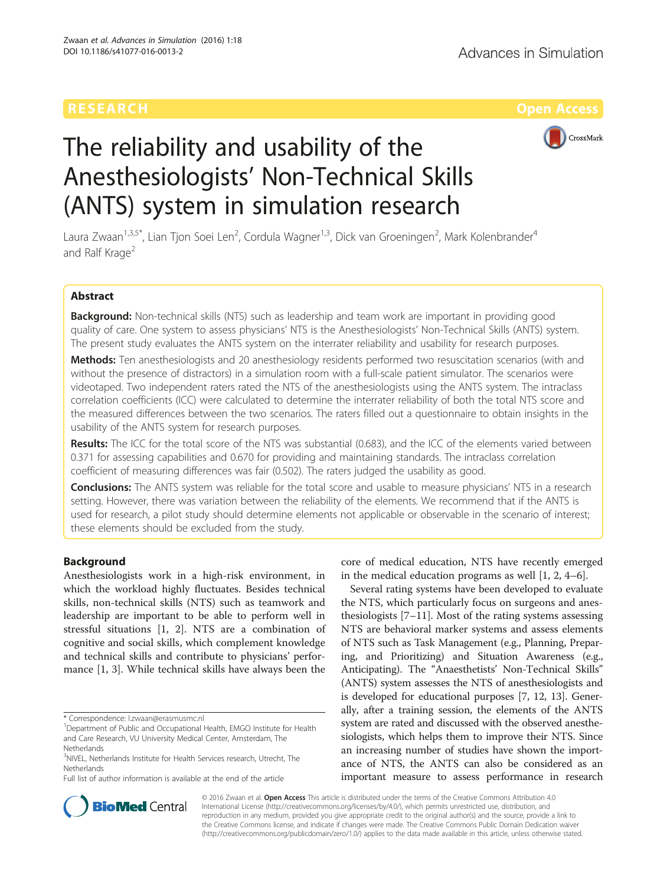

# The reliability and usability of the Anesthesiologists' Non-Technical Skills (ANTS) system in simulation research

Laura Zwaan<sup>1,3,5\*</sup>, Lian Tjon Soei Len<sup>2</sup>, Cordula Wagner<sup>1,3</sup>, Dick van Groeningen<sup>2</sup>, Mark Kolenbrander<sup>4</sup> and Ralf Krage<sup>2</sup>

# Abstract

Background: Non-technical skills (NTS) such as leadership and team work are important in providing good quality of care. One system to assess physicians' NTS is the Anesthesiologists' Non-Technical Skills (ANTS) system. The present study evaluates the ANTS system on the interrater reliability and usability for research purposes.

Methods: Ten anesthesiologists and 20 anesthesiology residents performed two resuscitation scenarios (with and without the presence of distractors) in a simulation room with a full-scale patient simulator. The scenarios were videotaped. Two independent raters rated the NTS of the anesthesiologists using the ANTS system. The intraclass correlation coefficients (ICC) were calculated to determine the interrater reliability of both the total NTS score and the measured differences between the two scenarios. The raters filled out a questionnaire to obtain insights in the usability of the ANTS system for research purposes.

Results: The ICC for the total score of the NTS was substantial (0.683), and the ICC of the elements varied between 0.371 for assessing capabilities and 0.670 for providing and maintaining standards. The intraclass correlation coefficient of measuring differences was fair (0.502). The raters judged the usability as good.

Conclusions: The ANTS system was reliable for the total score and usable to measure physicians' NTS in a research setting. However, there was variation between the reliability of the elements. We recommend that if the ANTS is used for research, a pilot study should determine elements not applicable or observable in the scenario of interest; these elements should be excluded from the study.

# Background

Anesthesiologists work in a high-risk environment, in which the workload highly fluctuates. Besides technical skills, non-technical skills (NTS) such as teamwork and leadership are important to be able to perform well in stressful situations [[1, 2](#page-6-0)]. NTS are a combination of cognitive and social skills, which complement knowledge and technical skills and contribute to physicians' performance [[1, 3\]](#page-6-0). While technical skills have always been the

Full list of author information is available at the end of the article

core of medical education, NTS have recently emerged in the medical education programs as well [\[1](#page-6-0), [2](#page-6-0), [4](#page-6-0)–[6](#page-6-0)].

Several rating systems have been developed to evaluate the NTS, which particularly focus on surgeons and anesthesiologists [[7](#page-6-0)–[11\]](#page-6-0). Most of the rating systems assessing NTS are behavioral marker systems and assess elements of NTS such as Task Management (e.g., Planning, Preparing, and Prioritizing) and Situation Awareness (e.g., Anticipating). The "Anaesthetists' Non-Technical Skills" (ANTS) system assesses the NTS of anesthesiologists and is developed for educational purposes [\[7, 12](#page-6-0), [13\]](#page-6-0). Generally, after a training session, the elements of the ANTS system are rated and discussed with the observed anesthesiologists, which helps them to improve their NTS. Since an increasing number of studies have shown the importance of NTS, the ANTS can also be considered as an important measure to assess performance in research



© 2016 Zwaan et al. Open Access This article is distributed under the terms of the Creative Commons Attribution 4.0 International License [\(http://creativecommons.org/licenses/by/4.0/](http://creativecommons.org/licenses/by/4.0/)), which permits unrestricted use, distribution, and reproduction in any medium, provided you give appropriate credit to the original author(s) and the source, provide a link to the Creative Commons license, and indicate if changes were made. The Creative Commons Public Domain Dedication waiver [\(http://creativecommons.org/publicdomain/zero/1.0/](http://creativecommons.org/publicdomain/zero/1.0/)) applies to the data made available in this article, unless otherwise stated.

<sup>\*</sup> Correspondence: [l.zwaan@erasmusmc.nl](mailto:l.zwaan@erasmusmc.nl) <sup>1</sup>

<sup>&</sup>lt;sup>1</sup>Department of Public and Occupational Health, EMGO Institute for Health and Care Research, VU University Medical Center, Amsterdam, The Netherlands

<sup>&</sup>lt;sup>3</sup>NIVEL, Netherlands Institute for Health Services research, Utrecht, The **Netherlands**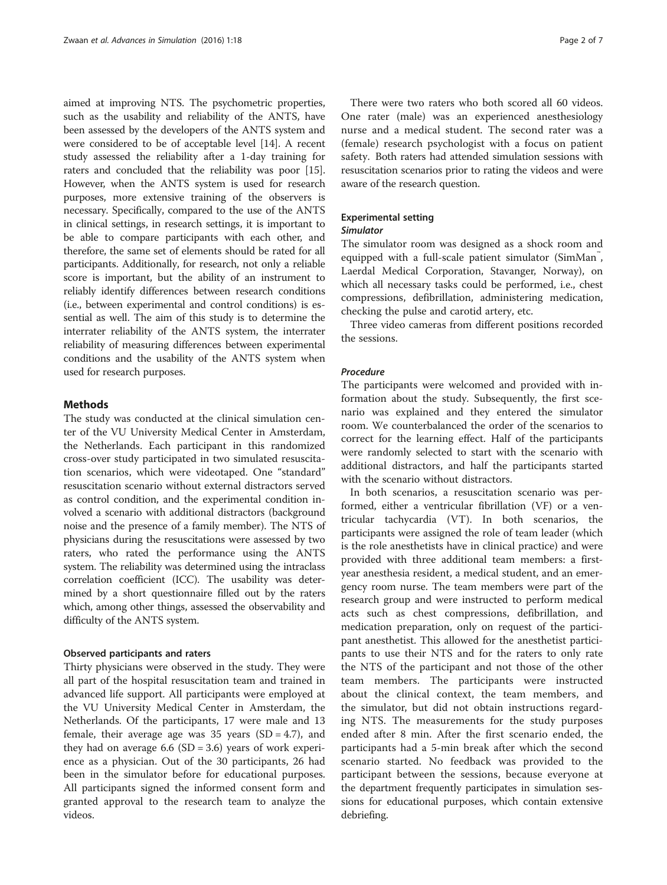aimed at improving NTS. The psychometric properties, such as the usability and reliability of the ANTS, have been assessed by the developers of the ANTS system and were considered to be of acceptable level [[14](#page-6-0)]. A recent study assessed the reliability after a 1-day training for raters and concluded that the reliability was poor [[15](#page-6-0)]. However, when the ANTS system is used for research purposes, more extensive training of the observers is necessary. Specifically, compared to the use of the ANTS in clinical settings, in research settings, it is important to be able to compare participants with each other, and therefore, the same set of elements should be rated for all participants. Additionally, for research, not only a reliable score is important, but the ability of an instrument to reliably identify differences between research conditions (i.e., between experimental and control conditions) is essential as well. The aim of this study is to determine the interrater reliability of the ANTS system, the interrater reliability of measuring differences between experimental conditions and the usability of the ANTS system when used for research purposes.

# Methods

The study was conducted at the clinical simulation center of the VU University Medical Center in Amsterdam, the Netherlands. Each participant in this randomized cross-over study participated in two simulated resuscitation scenarios, which were videotaped. One "standard" resuscitation scenario without external distractors served as control condition, and the experimental condition involved a scenario with additional distractors (background noise and the presence of a family member). The NTS of physicians during the resuscitations were assessed by two raters, who rated the performance using the ANTS system. The reliability was determined using the intraclass correlation coefficient (ICC). The usability was determined by a short questionnaire filled out by the raters which, among other things, assessed the observability and difficulty of the ANTS system.

# Observed participants and raters

Thirty physicians were observed in the study. They were all part of the hospital resuscitation team and trained in advanced life support. All participants were employed at the VU University Medical Center in Amsterdam, the Netherlands. Of the participants, 17 were male and 13 female, their average age was  $35$  years (SD = 4.7), and they had on average 6.6 (SD = 3.6) years of work experience as a physician. Out of the 30 participants, 26 had been in the simulator before for educational purposes. All participants signed the informed consent form and granted approval to the research team to analyze the videos.

There were two raters who both scored all 60 videos. One rater (male) was an experienced anesthesiology nurse and a medical student. The second rater was a (female) research psychologist with a focus on patient safety. Both raters had attended simulation sessions with resuscitation scenarios prior to rating the videos and were aware of the research question.

#### Experimental setting

# Simulator

The simulator room was designed as a shock room and equipped with a full-scale patient simulator (SimMan™, Laerdal Medical Corporation, Stavanger, Norway), on which all necessary tasks could be performed, i.e., chest compressions, defibrillation, administering medication, checking the pulse and carotid artery, etc.

Three video cameras from different positions recorded the sessions.

# Procedure

The participants were welcomed and provided with information about the study. Subsequently, the first scenario was explained and they entered the simulator room. We counterbalanced the order of the scenarios to correct for the learning effect. Half of the participants were randomly selected to start with the scenario with additional distractors, and half the participants started with the scenario without distractors.

In both scenarios, a resuscitation scenario was performed, either a ventricular fibrillation (VF) or a ventricular tachycardia (VT). In both scenarios, the participants were assigned the role of team leader (which is the role anesthetists have in clinical practice) and were provided with three additional team members: a firstyear anesthesia resident, a medical student, and an emergency room nurse. The team members were part of the research group and were instructed to perform medical acts such as chest compressions, defibrillation, and medication preparation, only on request of the participant anesthetist. This allowed for the anesthetist participants to use their NTS and for the raters to only rate the NTS of the participant and not those of the other team members. The participants were instructed about the clinical context, the team members, and the simulator, but did not obtain instructions regarding NTS. The measurements for the study purposes ended after 8 min. After the first scenario ended, the participants had a 5-min break after which the second scenario started. No feedback was provided to the participant between the sessions, because everyone at the department frequently participates in simulation sessions for educational purposes, which contain extensive debriefing.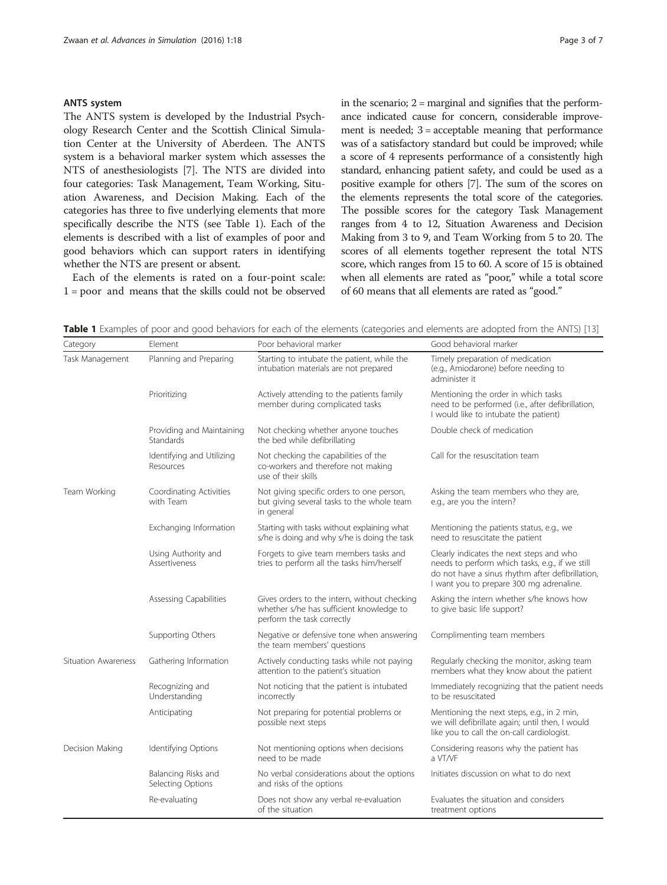# <span id="page-2-0"></span>ANTS system

The ANTS system is developed by the Industrial Psychology Research Center and the Scottish Clinical Simulation Center at the University of Aberdeen. The ANTS system is a behavioral marker system which assesses the NTS of anesthesiologists [\[7](#page-6-0)]. The NTS are divided into four categories: Task Management, Team Working, Situation Awareness, and Decision Making. Each of the categories has three to five underlying elements that more specifically describe the NTS (see Table 1). Each of the elements is described with a list of examples of poor and good behaviors which can support raters in identifying whether the NTS are present or absent.

Each of the elements is rated on a four-point scale: 1 = poor and means that the skills could not be observed in the scenario;  $2 =$  marginal and signifies that the performance indicated cause for concern, considerable improvement is needed; 3 = acceptable meaning that performance was of a satisfactory standard but could be improved; while a score of 4 represents performance of a consistently high standard, enhancing patient safety, and could be used as a positive example for others [\[7\]](#page-6-0). The sum of the scores on the elements represents the total score of the categories. The possible scores for the category Task Management ranges from 4 to 12, Situation Awareness and Decision Making from 3 to 9, and Team Working from 5 to 20. The scores of all elements together represent the total NTS score, which ranges from 15 to 60. A score of 15 is obtained when all elements are rated as "poor," while a total score of 60 means that all elements are rated as "good."

Table 1 Examples of poor and good behaviors for each of the elements (categories and elements are adopted from the ANTS) [\[13\]](#page-6-0)

| Category                   | Element                                  | Poor behavioral marker                                                                                                 | Good behavioral marker                                                                                                                                                                      |
|----------------------------|------------------------------------------|------------------------------------------------------------------------------------------------------------------------|---------------------------------------------------------------------------------------------------------------------------------------------------------------------------------------------|
| Task Management            | Planning and Preparing                   | Starting to intubate the patient, while the<br>intubation materials are not prepared                                   | Timely preparation of medication<br>(e.g., Amiodarone) before needing to<br>administer it                                                                                                   |
|                            | Prioritizing                             | Actively attending to the patients family<br>member during complicated tasks                                           | Mentioning the order in which tasks<br>need to be performed (i.e., after defibrillation,<br>I would like to intubate the patient)                                                           |
|                            | Providing and Maintaining<br>Standards   | Not checking whether anyone touches<br>the bed while defibrillating                                                    | Double check of medication                                                                                                                                                                  |
|                            | Identifying and Utilizing<br>Resources   | Not checking the capabilities of the<br>co-workers and therefore not making<br>use of their skills                     | Call for the resuscitation team                                                                                                                                                             |
| Team Working               | Coordinating Activities<br>with Team     | Not giving specific orders to one person,<br>but giving several tasks to the whole team<br>in general                  | Asking the team members who they are,<br>e.g., are you the intern?                                                                                                                          |
|                            | Exchanging Information                   | Starting with tasks without explaining what<br>s/he is doing and why s/he is doing the task                            | Mentioning the patients status, e.g., we<br>need to resuscitate the patient                                                                                                                 |
|                            | Using Authority and<br>Assertiveness     | Forgets to give team members tasks and<br>tries to perform all the tasks him/herself                                   | Clearly indicates the next steps and who<br>needs to perform which tasks, e.g., if we still<br>do not have a sinus rhythm after defibrillation,<br>I want you to prepare 300 mg adrenaline. |
|                            | Assessing Capabilities                   | Gives orders to the intern, without checking<br>whether s/he has sufficient knowledge to<br>perform the task correctly | Asking the intern whether s/he knows how<br>to give basic life support?                                                                                                                     |
|                            | Supporting Others                        | Negative or defensive tone when answering<br>the team members' questions                                               | Complimenting team members                                                                                                                                                                  |
| <b>Situation Awareness</b> | Gathering Information                    | Actively conducting tasks while not paying<br>attention to the patient's situation                                     | Regularly checking the monitor, asking team<br>members what they know about the patient                                                                                                     |
|                            | Recognizing and<br>Understanding         | Not noticing that the patient is intubated<br>incorrectly                                                              | Immediately recognizing that the patient needs<br>to be resuscitated                                                                                                                        |
|                            | Anticipating                             | Not preparing for potential problems or<br>possible next steps                                                         | Mentioning the next steps, e.g., in 2 min,<br>we will defibrillate again; until then, I would<br>like you to call the on-call cardiologist.                                                 |
| Decision Making            | Identifying Options                      | Not mentioning options when decisions<br>need to be made                                                               | Considering reasons why the patient has<br>a VT/VF                                                                                                                                          |
|                            | Balancing Risks and<br>Selecting Options | No verbal considerations about the options<br>and risks of the options                                                 | Initiates discussion on what to do next                                                                                                                                                     |
|                            | Re-evaluating                            | Does not show any verbal re-evaluation<br>of the situation                                                             | Evaluates the situation and considers<br>treatment options                                                                                                                                  |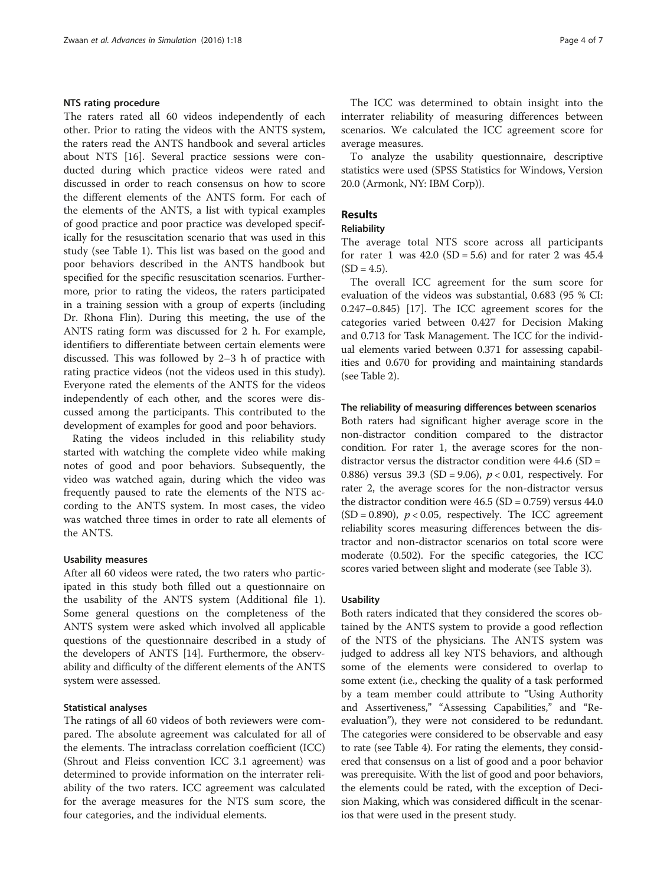# NTS rating procedure

The raters rated all 60 videos independently of each other. Prior to rating the videos with the ANTS system, the raters read the ANTS handbook and several articles about NTS [\[16\]](#page-6-0). Several practice sessions were conducted during which practice videos were rated and discussed in order to reach consensus on how to score the different elements of the ANTS form. For each of the elements of the ANTS, a list with typical examples of good practice and poor practice was developed specifically for the resuscitation scenario that was used in this study (see Table [1](#page-2-0)). This list was based on the good and poor behaviors described in the ANTS handbook but specified for the specific resuscitation scenarios. Furthermore, prior to rating the videos, the raters participated in a training session with a group of experts (including Dr. Rhona Flin). During this meeting, the use of the ANTS rating form was discussed for 2 h. For example, identifiers to differentiate between certain elements were discussed. This was followed by 2–3 h of practice with rating practice videos (not the videos used in this study). Everyone rated the elements of the ANTS for the videos independently of each other, and the scores were discussed among the participants. This contributed to the development of examples for good and poor behaviors.

Rating the videos included in this reliability study started with watching the complete video while making notes of good and poor behaviors. Subsequently, the video was watched again, during which the video was frequently paused to rate the elements of the NTS according to the ANTS system. In most cases, the video was watched three times in order to rate all elements of the ANTS.

# Usability measures

After all 60 videos were rated, the two raters who participated in this study both filled out a questionnaire on the usability of the ANTS system (Additional file [1](#page-5-0)). Some general questions on the completeness of the ANTS system were asked which involved all applicable questions of the questionnaire described in a study of the developers of ANTS [[14](#page-6-0)]. Furthermore, the observability and difficulty of the different elements of the ANTS system were assessed.

#### Statistical analyses

The ratings of all 60 videos of both reviewers were compared. The absolute agreement was calculated for all of the elements. The intraclass correlation coefficient (ICC) (Shrout and Fleiss convention ICC 3.1 agreement) was determined to provide information on the interrater reliability of the two raters. ICC agreement was calculated for the average measures for the NTS sum score, the four categories, and the individual elements.

The ICC was determined to obtain insight into the interrater reliability of measuring differences between scenarios. We calculated the ICC agreement score for average measures.

To analyze the usability questionnaire, descriptive statistics were used (SPSS Statistics for Windows, Version 20.0 (Armonk, NY: IBM Corp)).

# Results

#### Reliability

The average total NTS score across all participants for rater 1 was  $42.0$  (SD = 5.6) and for rater 2 was  $45.4$  $(SD = 4.5)$ .

The overall ICC agreement for the sum score for evaluation of the videos was substantial, 0.683 (95 % CI: 0.247–0.845) [[17\]](#page-6-0). The ICC agreement scores for the categories varied between 0.427 for Decision Making and 0.713 for Task Management. The ICC for the individual elements varied between 0.371 for assessing capabilities and 0.670 for providing and maintaining standards (see Table [2](#page-4-0)).

# The reliability of measuring differences between scenarios

Both raters had significant higher average score in the non-distractor condition compared to the distractor condition. For rater 1, the average scores for the nondistractor versus the distractor condition were 44.6 (SD = 0.886) versus  $39.3$  (SD = 9.06),  $p < 0.01$ , respectively. For rater 2, the average scores for the non-distractor versus the distractor condition were  $46.5$  (SD = 0.759) versus  $44.0$  $(SD = 0.890)$ ,  $p < 0.05$ , respectively. The ICC agreement reliability scores measuring differences between the distractor and non-distractor scenarios on total score were moderate (0.502). For the specific categories, the ICC scores varied between slight and moderate (see Table [3](#page-4-0)).

#### **Usability**

Both raters indicated that they considered the scores obtained by the ANTS system to provide a good reflection of the NTS of the physicians. The ANTS system was judged to address all key NTS behaviors, and although some of the elements were considered to overlap to some extent (i.e., checking the quality of a task performed by a team member could attribute to "Using Authority and Assertiveness," "Assessing Capabilities," and "Reevaluation"), they were not considered to be redundant. The categories were considered to be observable and easy to rate (see Table [4](#page-5-0)). For rating the elements, they considered that consensus on a list of good and a poor behavior was prerequisite. With the list of good and poor behaviors, the elements could be rated, with the exception of Decision Making, which was considered difficult in the scenarios that were used in the present study.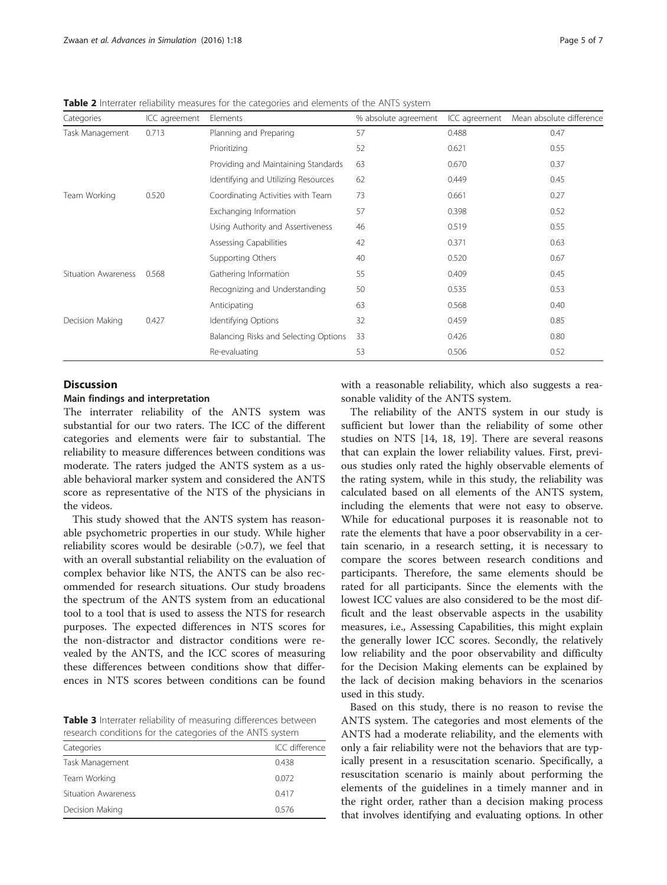| Categories                 | ICC agreement | Elements                              | % absolute agreement | ICC agreement | Mean absolute difference |
|----------------------------|---------------|---------------------------------------|----------------------|---------------|--------------------------|
| Task Management            | 0.713         | Planning and Preparing                | 57                   | 0.488         | 0.47                     |
|                            |               | Prioritizing                          | 52                   | 0.621         | 0.55                     |
|                            |               | Providing and Maintaining Standards   | 63                   | 0.670         | 0.37                     |
|                            |               | Identifying and Utilizing Resources   | 62                   | 0.449         | 0.45                     |
| Team Working               | 0.520         | Coordinating Activities with Team     | 73                   | 0.661         | 0.27                     |
|                            |               | Exchanging Information                | 57                   | 0.398         | 0.52                     |
|                            |               | Using Authority and Assertiveness     | 46                   | 0.519         | 0.55                     |
|                            |               | Assessing Capabilities                | 42                   | 0.371         | 0.63                     |
|                            |               | Supporting Others                     | 40                   | 0.520         | 0.67                     |
| <b>Situation Awareness</b> | 0.568         | Gathering Information                 | 55                   | 0.409         | 0.45                     |
|                            |               | Recognizing and Understanding         | 50                   | 0.535         | 0.53                     |
|                            |               | Anticipating                          | 63                   | 0.568         | 0.40                     |
| Decision Making            | 0.427         | Identifying Options                   | 32                   | 0.459         | 0.85                     |
|                            |               | Balancing Risks and Selecting Options | 33                   | 0.426         | 0.80                     |
|                            |               | Re-evaluating                         | 53                   | 0.506         | 0.52                     |

<span id="page-4-0"></span>**Table 2** Interrater reliability measures for the categories and elements of the ANTS system

# **Discussion**

## Main findings and interpretation

The interrater reliability of the ANTS system was substantial for our two raters. The ICC of the different categories and elements were fair to substantial. The reliability to measure differences between conditions was moderate. The raters judged the ANTS system as a usable behavioral marker system and considered the ANTS score as representative of the NTS of the physicians in the videos.

This study showed that the ANTS system has reasonable psychometric properties in our study. While higher reliability scores would be desirable  $(>0.7)$ , we feel that with an overall substantial reliability on the evaluation of complex behavior like NTS, the ANTS can be also recommended for research situations. Our study broadens the spectrum of the ANTS system from an educational tool to a tool that is used to assess the NTS for research purposes. The expected differences in NTS scores for the non-distractor and distractor conditions were revealed by the ANTS, and the ICC scores of measuring these differences between conditions show that differences in NTS scores between conditions can be found

Table 3 Interrater reliability of measuring differences between research conditions for the categories of the ANTS system

| Categories                 | ICC difference |  |
|----------------------------|----------------|--|
| Task Management            | 0.438          |  |
| Team Working               | 0.072          |  |
| <b>Situation Awareness</b> | 0417           |  |
| Decision Making            | 0576           |  |

with a reasonable reliability, which also suggests a reasonable validity of the ANTS system.

The reliability of the ANTS system in our study is sufficient but lower than the reliability of some other studies on NTS [[14, 18, 19\]](#page-6-0). There are several reasons that can explain the lower reliability values. First, previous studies only rated the highly observable elements of the rating system, while in this study, the reliability was calculated based on all elements of the ANTS system, including the elements that were not easy to observe. While for educational purposes it is reasonable not to rate the elements that have a poor observability in a certain scenario, in a research setting, it is necessary to compare the scores between research conditions and participants. Therefore, the same elements should be rated for all participants. Since the elements with the lowest ICC values are also considered to be the most difficult and the least observable aspects in the usability measures, i.e., Assessing Capabilities, this might explain the generally lower ICC scores. Secondly, the relatively low reliability and the poor observability and difficulty for the Decision Making elements can be explained by the lack of decision making behaviors in the scenarios used in this study.

Based on this study, there is no reason to revise the ANTS system. The categories and most elements of the ANTS had a moderate reliability, and the elements with only a fair reliability were not the behaviors that are typically present in a resuscitation scenario. Specifically, a resuscitation scenario is mainly about performing the elements of the guidelines in a timely manner and in the right order, rather than a decision making process that involves identifying and evaluating options. In other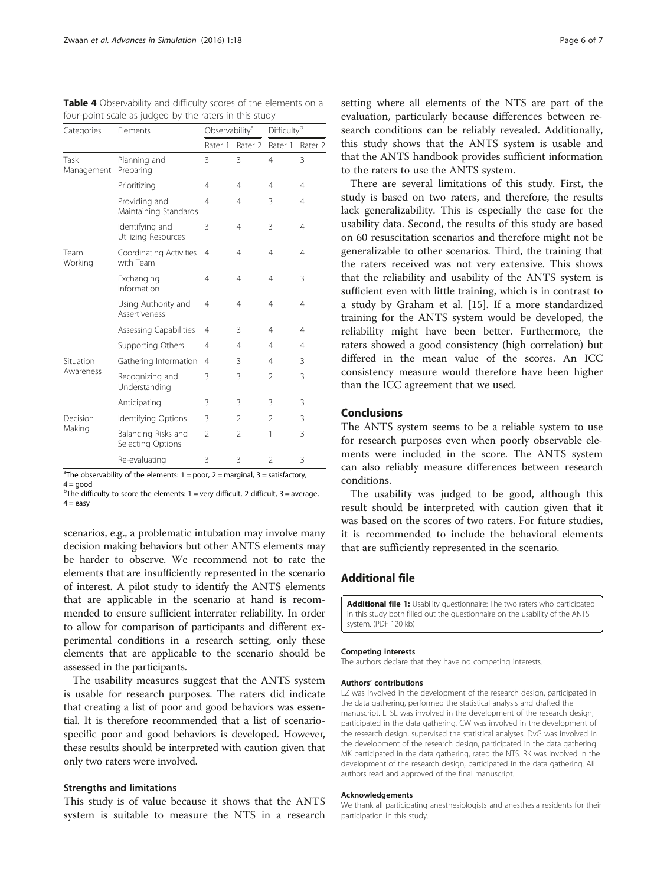| Categories         | Elements                                 | Observability <sup>a</sup> |                    | Difficultyb    |                    |
|--------------------|------------------------------------------|----------------------------|--------------------|----------------|--------------------|
|                    |                                          | Rater 1                    | Rater <sub>2</sub> | Rater 1        | Rater <sub>2</sub> |
| Task<br>Management | Planning and<br>Preparing                | 3                          | 3                  | 4              | 3                  |
|                    | Prioritizing                             | 4                          | 4                  | 4              | $\overline{4}$     |
|                    | Providing and<br>Maintaining Standards   | 4                          | 4                  | 3              | $\overline{4}$     |
|                    | Identifying and<br>Utilizing Resources   | 3                          | 4                  | 3              | $\overline{4}$     |
| Team<br>Working    | Coordinating Activities<br>with Team     | 4                          | 4                  | 4              | 4                  |
|                    | Exchanging<br>Information                | 4                          | $\overline{4}$     | 4              | 3                  |
|                    | Using Authority and<br>Assertiveness     | 4                          | 4                  | 4              | 4                  |
|                    | Assessing Capabilities                   | 4                          | 3                  | 4              | $\overline{4}$     |
|                    | Supporting Others                        | 4                          | 4                  | 4              | 4                  |
| Situation          | Gathering Information                    | 4                          | 3                  | 4              | 3                  |
| Awareness          | Recognizing and<br>Understanding         | 3                          | 3                  | $\mathfrak{D}$ | 3                  |
|                    | Anticipating                             | 3                          | 3                  | 3              | 3                  |
| Decision           | Identifying Options                      | 3                          | $\overline{2}$     | $\mathfrak{D}$ | 3                  |
| Making             | Balancing Risks and<br>Selecting Options | $\mathfrak{D}$             | $\overline{2}$     | 1              | 3                  |
|                    | Re-evaluating                            | 3                          | 3                  | $\overline{2}$ | 3                  |

<span id="page-5-0"></span>Table 4 Observability and difficulty scores of the elements on a four-point scale as judged by the raters in this study

<sup>a</sup>The observability of the elements:  $1 =$  poor,  $2 =$  marginal,  $3 =$  satisfactory,  $4 =$  good

<sup>b</sup>The difficulty to score the elements: 1 = very difficult, 2 difficult, 3 = average,  $4 = e$ asy

scenarios, e.g., a problematic intubation may involve many decision making behaviors but other ANTS elements may be harder to observe. We recommend not to rate the elements that are insufficiently represented in the scenario of interest. A pilot study to identify the ANTS elements that are applicable in the scenario at hand is recommended to ensure sufficient interrater reliability. In order to allow for comparison of participants and different experimental conditions in a research setting, only these elements that are applicable to the scenario should be assessed in the participants.

The usability measures suggest that the ANTS system is usable for research purposes. The raters did indicate that creating a list of poor and good behaviors was essential. It is therefore recommended that a list of scenariospecific poor and good behaviors is developed. However, these results should be interpreted with caution given that only two raters were involved.

#### Strengths and limitations

This study is of value because it shows that the ANTS system is suitable to measure the NTS in a research

setting where all elements of the NTS are part of the evaluation, particularly because differences between research conditions can be reliably revealed. Additionally, this study shows that the ANTS system is usable and that the ANTS handbook provides sufficient information to the raters to use the ANTS system.

There are several limitations of this study. First, the study is based on two raters, and therefore, the results lack generalizability. This is especially the case for the usability data. Second, the results of this study are based on 60 resuscitation scenarios and therefore might not be generalizable to other scenarios. Third, the training that the raters received was not very extensive. This shows that the reliability and usability of the ANTS system is sufficient even with little training, which is in contrast to a study by Graham et al. [\[15](#page-6-0)]. If a more standardized training for the ANTS system would be developed, the reliability might have been better. Furthermore, the raters showed a good consistency (high correlation) but differed in the mean value of the scores. An ICC consistency measure would therefore have been higher than the ICC agreement that we used.

# Conclusions

The ANTS system seems to be a reliable system to use for research purposes even when poorly observable elements were included in the score. The ANTS system can also reliably measure differences between research conditions.

The usability was judged to be good, although this result should be interpreted with caution given that it was based on the scores of two raters. For future studies, it is recommended to include the behavioral elements that are sufficiently represented in the scenario.

# Additional file

[Additional file 1:](dx.doi.org/10.1186/s41077-016-0013-2) Usability questionnaire: The two raters who participated in this study both filled out the questionnaire on the usability of the ANTS system. (PDF 120 kb)

#### Competing interests

The authors declare that they have no competing interests.

#### Authors' contributions

LZ was involved in the development of the research design, participated in the data gathering, performed the statistical analysis and drafted the manuscript. LTSL was involved in the development of the research design, participated in the data gathering. CW was involved in the development of the research design, supervised the statistical analyses. DvG was involved in the development of the research design, participated in the data gathering. MK participated in the data gathering, rated the NTS. RK was involved in the development of the research design, participated in the data gathering. All authors read and approved of the final manuscript.

#### Acknowledgements

We thank all participating anesthesiologists and anesthesia residents for their participation in this study.